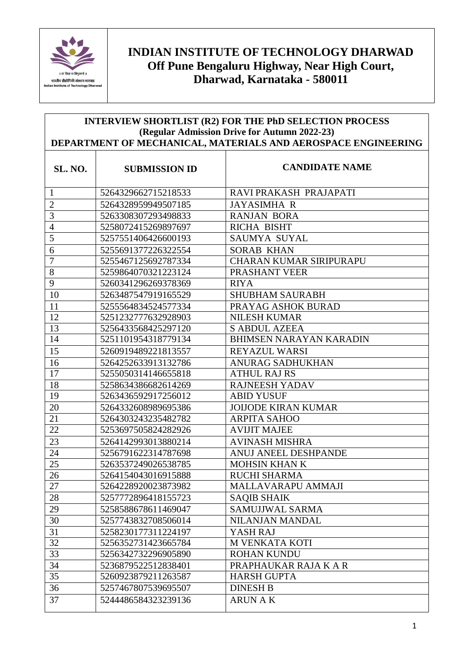

## **INDIAN INSTITUTE OF TECHNOLOGY DHARWAD Off Pune Bengaluru Highway, Near High Court, Dharwad, Karnataka - 580011**

## **INTERVIEW SHORTLIST (R2) FOR THE PhD SELECTION PROCESS (Regular Admission Drive for Autumn 2022-23) DEPARTMENT OF MECHANICAL, MATERIALS AND AEROSPACE ENGINEERING**

| <b>SL. NO.</b> | <b>SUBMISSION ID</b> | <b>CANDIDATE NAME</b>          |
|----------------|----------------------|--------------------------------|
| $\mathbf{1}$   | 5264329662715218533  | RAVI PRAKASH PRAJAPATI         |
| $\overline{2}$ | 5264328959949507185  | <b>JAYASIMHA R</b>             |
| 3              | 5263308307293498833  | <b>RANJAN BORA</b>             |
| $\overline{4}$ | 5258072415269897697  | RICHA BISHT                    |
| 5              | 5257551406426600193  | <b>SAUMYA SUYAL</b>            |
| 6              | 5255691377226322554  | <b>SORAB KHAN</b>              |
| $\overline{7}$ | 5255467125692787334  | <b>CHARAN KUMAR SIRIPURAPU</b> |
| 8              | 5259864070321223124  | PRASHANT VEER                  |
| 9              | 5260341296269378369  | <b>RIYA</b>                    |
| 10             | 5263487547919165529  | <b>SHUBHAM SAURABH</b>         |
| 11             | 5255564834524577334  | PRAYAG ASHOK BURAD             |
| 12             | 5251232777632928903  | <b>NILESH KUMAR</b>            |
| 13             | 5256433568425297120  | <b>S ABDUL AZEEA</b>           |
| 14             | 5251101954318779134  | <b>BHIMSEN NARAYAN KARADIN</b> |
| 15             | 5260919489221813557  | REYAZUL WARSI                  |
| 16             | 5264252633913132786  | <b>ANURAG SADHUKHAN</b>        |
| 17             | 5255050314146655818  | <b>ATHUL RAJ RS</b>            |
| 18             | 5258634386682614269  | <b>RAJNEESH YADAV</b>          |
| 19             | 5263436592917256012  | <b>ABID YUSUF</b>              |
| 20             | 5264332608989695386  | <b>JOIJODE KIRAN KUMAR</b>     |
| 21             | 5264303243235482782  | <b>ARPITA SAHOO</b>            |
| 22             | 5253697505824282926  | <b>AVIJIT MAJEE</b>            |
| 23             | 5264142993013880214  | <b>AVINASH MISHRA</b>          |
| 24             | 5256791622314787698  | ANUJ ANEEL DESHPANDE           |
| 25             | 5263537249026538785  | <b>MOHSIN KHAN K</b>           |
| 26             | 5264154043016915888  | <b>RUCHI SHARMA</b>            |
| 27             | 5264228920023873982  | MALLAVARAPU AMMAJI             |
| 28             | 5257772896418155723  | <b>SAQIB SHAIK</b>             |
| 29             | 5258588678611469047  | SAMUJJWAL SARMA                |
| 30             | 5257743832708506014  | NILANJAN MANDAL                |
| 31             | 5258230177311224197  | YASH RAJ                       |
| 32             | 5256352731423665784  | M VENKATA KOTI                 |
| 33             | 5256342732296905890  | <b>ROHAN KUNDU</b>             |
| 34             | 5236879522512838401  | PRAPHAUKAR RAJA K A R          |
| 35             | 5260923879211263587  | <b>HARSH GUPTA</b>             |
| 36             | 5257467807539695507  | <b>DINESH B</b>                |
| 37             | 5244486584323239136  | <b>ARUN AK</b>                 |